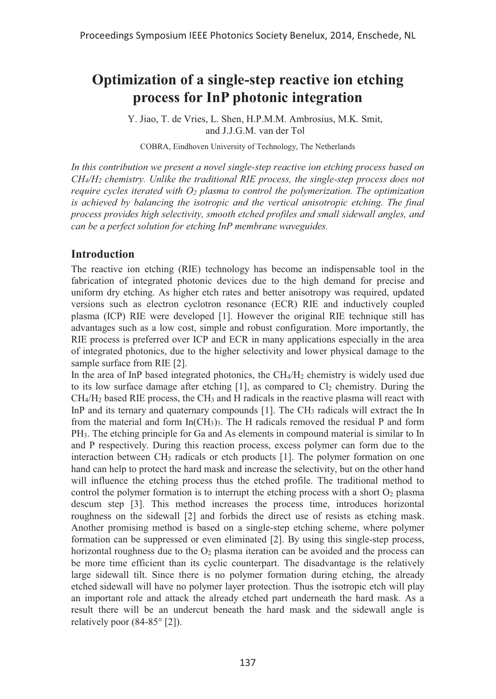# **Optimization of a single-step reactive ion etching process for InP photonic integration**

Y. Jiao, T. de Vries, L. Shen, H.P.M.M. Ambrosius, M.K. Smit, and J.J.G.M. van der Tol

COBRA, Eindhoven University of Technology, The Netherlands

*In this contribution we present a novel single-step reactive ion etching process based on CH4/H2 chemistry. Unlike the traditional RIE process, the single-step process does not require cycles iterated with O2 plasma to control the polymerization. The optimization*  is achieved by balancing the isotropic and the vertical anisotropic etching. The final *process provides high selectivity, smooth etched profiles and small sidewall angles, and can be a perfect solution for etching InP membrane waveguides.* 

## **Introduction**

The reactive ion etching (RIE) technology has become an indispensable tool in the fabrication of integrated photonic devices due to the high demand for precise and uniform dry etching. As higher etch rates and better anisotropy was required, updated versions such as electron cyclotron resonance (ECR) RIE and inductively coupled plasma (ICP) RIE were developed [1]. However the original RIE technique still has advantages such as a low cost, simple and robust configuration. More importantly, the RIE process is preferred over ICP and ECR in many applications especially in the area of integrated photonics, due to the higher selectivity and lower physical damage to the sample surface from RIE [2].

In the area of InP based integrated photonics, the CH4/H2 chemistry is widely used due to its low surface damage after etching  $[1]$ , as compared to  $Cl<sub>2</sub>$  chemistry. During the CH4/H2 based RIE process, the CH3 and H radicals in the reactive plasma will react with InP and its ternary and quaternary compounds [1]. The CH<sub>3</sub> radicals will extract the In from the material and form  $In(CH_3)$ . The H radicals removed the residual P and form PH3. The etching principle for Ga and As elements in compound material is similar to In and P respectively. During this reaction process, excess polymer can form due to the interaction between  $CH_3$  radicals or etch products [1]. The polymer formation on one hand can help to protect the hard mask and increase the selectivity, but on the other hand will influence the etching process thus the etched profile. The traditional method to control the polymer formation is to interrupt the etching process with a short  $O<sub>2</sub>$  plasma descum step [3]. This method increases the process time, introduces horizontal roughness on the sidewall [2] and forbids the direct use of resists as etching mask. Another promising method is based on a single-step etching scheme, where polymer formation can be suppressed or even eliminated [2]. By using this single-step process, horizontal roughness due to the  $O<sub>2</sub>$  plasma iteration can be avoided and the process can be more time efficient than its cyclic counterpart. The disadvantage is the relatively large sidewall tilt. Since there is no polymer formation during etching, the already etched sidewall will have no polymer layer protection. Thus the isotropic etch will play an important role and attack the already etched part underneath the hard mask. As a result there will be an undercut beneath the hard mask and the sidewall angle is relatively poor (84-85° [2]).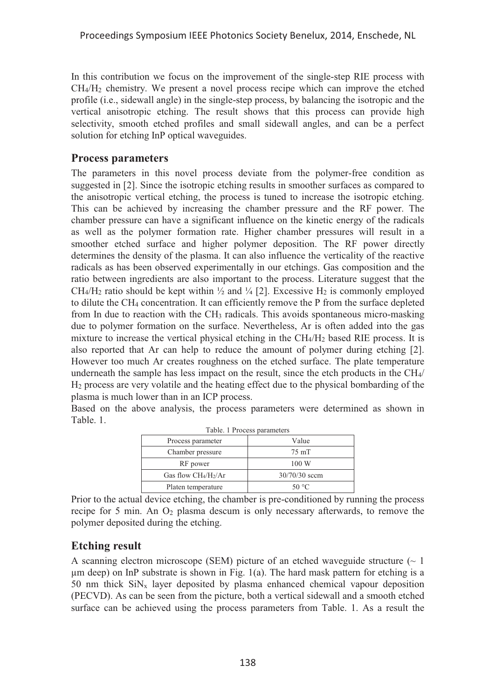In this contribution we focus on the improvement of the single-step RIE process with CH4/H2 chemistry. We present a novel process recipe which can improve the etched profile (i.e., sidewall angle) in the single-step process, by balancing the isotropic and the vertical anisotropic etching. The result shows that this process can provide high selectivity, smooth etched profiles and small sidewall angles, and can be a perfect solution for etching InP optical waveguides.

#### **Process parameters**

The parameters in this novel process deviate from the polymer-free condition as suggested in [2]. Since the isotropic etching results in smoother surfaces as compared to the anisotropic vertical etching, the process is tuned to increase the isotropic etching. This can be achieved by increasing the chamber pressure and the RF power. The chamber pressure can have a significant influence on the kinetic energy of the radicals as well as the polymer formation rate. Higher chamber pressures will result in a smoother etched surface and higher polymer deposition. The RF power directly determines the density of the plasma. It can also influence the verticality of the reactive radicals as has been observed experimentally in our etchings. Gas composition and the ratio between ingredients are also important to the process. Literature suggest that the CH<sub>4</sub>/H<sub>2</sub> ratio should be kept within  $\frac{1}{2}$  and  $\frac{1}{4}$  [2]. Excessive H<sub>2</sub> is commonly employed to dilute the CH4 concentration. It can efficiently remove the P from the surface depleted from In due to reaction with the CH3 radicals. This avoids spontaneous micro-masking due to polymer formation on the surface. Nevertheless, Ar is often added into the gas mixture to increase the vertical physical etching in the CH4/H2 based RIE process. It is also reported that Ar can help to reduce the amount of polymer during etching [2]. However too much Ar creates roughness on the etched surface. The plate temperature underneath the sample has less impact on the result, since the etch products in the CH4/ H2 process are very volatile and the heating effect due to the physical bombarding of the plasma is much lower than in an ICP process.

Based on the above analysis, the process parameters were determined as shown in Table. 1.

| Table. 1 Process parameters |                 |
|-----------------------------|-----------------|
| Process parameter           | Value           |
| Chamber pressure            | 75 mT           |
| RF power                    | 100 W           |
| Gas flow $CH_4/H_2/Ar$      | $30/70/30$ sccm |
| Platen temperature          | 50 °C           |

Prior to the actual device etching, the chamber is pre-conditioned by running the process recipe for 5 min. An O2 plasma descum is only necessary afterwards, to remove the polymer deposited during the etching.

## **Etching result**

A scanning electron microscope (SEM) picture of an etched waveguide structure  $(\sim 1$ μm deep) on InP substrate is shown in Fig. 1(a). The hard mask pattern for etching is a 50 nm thick  $\text{SiN}_x$  layer deposited by plasma enhanced chemical vapour deposition (PECVD). As can be seen from the picture, both a vertical sidewall and a smooth etched surface can be achieved using the process parameters from Table. 1. As a result the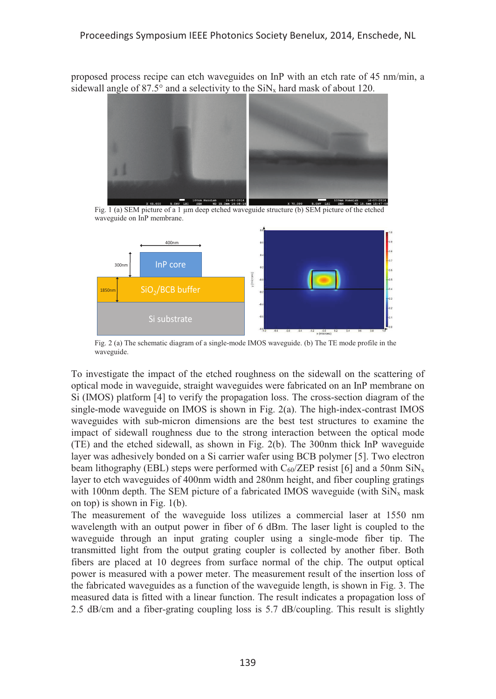proposed process recipe can etch waveguides on InP with an etch rate of 45 nm/min, a sidewall angle of 87.5° and a selectivity to the  $\text{SiN}_x$  hard mask of about 120.



Fig. 1 (a) SEM picture of a 1 μm deep etched waveguide structure (b) SEM picture of the etched waveguide on InP membrane.



Fig. 2 (a) The schematic diagram of a single-mode IMOS waveguide. (b) The TE mode profile in the waveguide.

To investigate the impact of the etched roughness on the sidewall on the scattering of optical mode in waveguide, straight waveguides were fabricated on an InP membrane on Si (IMOS) platform [4] to verify the propagation loss. The cross-section diagram of the single-mode waveguide on IMOS is shown in Fig. 2(a). The high-index-contrast IMOS waveguides with sub-micron dimensions are the best test structures to examine the impact of sidewall roughness due to the strong interaction between the optical mode (TE) and the etched sidewall, as shown in Fig. 2(b). The 300nm thick InP waveguide layer was adhesively bonded on a Si carrier wafer using BCB polymer [5]. Two electron beam lithography (EBL) steps were performed with  $C_{60}/\text{ZEP}$  resist [6] and a 50nm  $\text{SiN}_x$ layer to etch waveguides of 400nm width and 280nm height, and fiber coupling gratings with 100nm depth. The SEM picture of a fabricated IMOS waveguide (with  $\text{SiN}_x$  mask on top) is shown in Fig. 1(b).

The measurement of the waveguide loss utilizes a commercial laser at 1550 nm wavelength with an output power in fiber of 6 dBm. The laser light is coupled to the waveguide through an input grating coupler using a single-mode fiber tip. The transmitted light from the output grating coupler is collected by another fiber. Both fibers are placed at 10 degrees from surface normal of the chip. The output optical power is measured with a power meter. The measurement result of the insertion loss of the fabricated waveguides as a function of the waveguide length, is shown in Fig. 3. The measured data is fitted with a linear function. The result indicates a propagation loss of 2.5 dB/cm and a fiber-grating coupling loss is 5.7 dB/coupling. This result is slightly